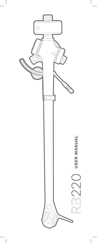

 $\begin{array}{c} \hline \end{array}$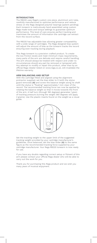#### **INTRODUCTION**

The RB220 uses Rega's custom one piece, aluminium arm tube, carefully manufactured to optimise performance and reduce stress on the Rega designed polymer bearings (patent pending). Each tonearm is meticulously hand assembled using custom Rega made tools and torque settings to guarantee optimum performance. This level of care ensures perfect tracking and maximises the amount of information the cartridge can extract from the record surface.

The RB220 has adjustable bias allowing greater compatability with a wide range of cartridges. The Rega designed bias system will adjust the amount of bias as the tonearm tracks the record ensuring even tracking during playback.

This Rega tonearm is a precision crafted product. To create the low friction levels and meet minimum mass requirements, many parts of the arm are delicate and require careful handling. The arm should always be treated with respect and under no circumstances should any part be removed or tampered with. Any attempt to modify or repair this product, other than by an official Rega retailer listed on www.rega.co.uk, will invalidate the lifetime warranty.

# **ARM BALANCING AND SETUP**

With the cartridge fitted and aligned using the alignment protractor supplied, set the bias slider to 0 (with the stylus guard removed) **(A)** and screw the balance weight along its shaft until the stylus is "floating" approximately 1 mm clear of the record. The recommended tracking force can now be applied by rotating the balance weight so that it moves towards the front of the arm. A half turn (through 180 degrees) generates 1 gram of tracking pressure (turning the weight 360 degrees will apply 2 grams). Use the plastic inserts found on the weight as a visual guide.



Set the tracking weight to the upper limit of the suggested tracking weight provided by your cartridge manufacturer's guidelines. Once balanced, set the bias slider **(A)** to the same figure as the recommended tracking force supplied by your cartridge manufacturer. Your Rega RB220 tonearm is now ready for use.

If you have any doubts regarding correct setup or fitment of this arm please contact your official Rega dealer who will be able to carry out the work for you.

Thank you for purchasing this Rega product and we wish you many years of musical enjoyment.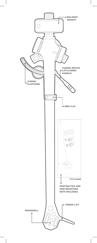

 $\begin{array}{c} \hline \end{array}$